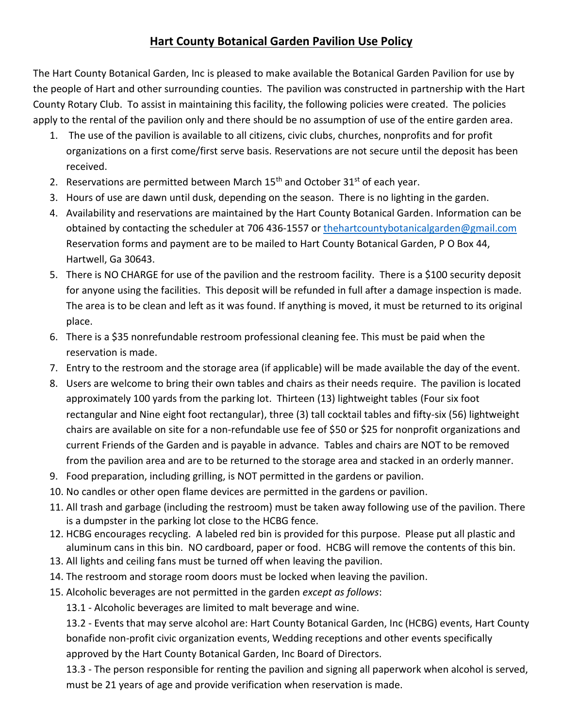## **Hart County Botanical Garden Pavilion Use Policy**

The Hart County Botanical Garden, Inc is pleased to make available the Botanical Garden Pavilion for use by the people of Hart and other surrounding counties. The pavilion was constructed in partnership with the Hart County Rotary Club. To assist in maintaining this facility, the following policies were created. The policies apply to the rental of the pavilion only and there should be no assumption of use of the entire garden area.

- 1. The use of the pavilion is available to all citizens, civic clubs, churches, nonprofits and for profit organizations on a first come/first serve basis. Reservations are not secure until the deposit has been received.
- 2. Reservations are permitted between March  $15<sup>th</sup>$  and October  $31<sup>st</sup>$  of each year.
- 3. Hours of use are dawn until dusk, depending on the season. There is no lighting in the garden.
- 4. Availability and reservations are maintained by the Hart County Botanical Garden. Information can be obtained by contacting the scheduler at 706 436-1557 or [thehartcountybotanicalgarden@gmail.com](mailto:thehartcountybotanicalgarden@gmail.com) Reservation forms and payment are to be mailed to Hart County Botanical Garden, P O Box 44, Hartwell, Ga 30643.
- 5. There is NO CHARGE for use of the pavilion and the restroom facility. There is a \$100 security deposit for anyone using the facilities. This deposit will be refunded in full after a damage inspection is made. The area is to be clean and left as it was found. If anything is moved, it must be returned to its original place.
- 6. There is a \$35 nonrefundable restroom professional cleaning fee. This must be paid when the reservation is made.
- 7. Entry to the restroom and the storage area (if applicable) will be made available the day of the event.
- 8. Users are welcome to bring their own tables and chairs as their needs require. The pavilion is located approximately 100 yards from the parking lot. Thirteen (13) lightweight tables (Four six foot rectangular and Nine eight foot rectangular), three (3) tall cocktail tables and fifty-six (56) lightweight chairs are available on site for a non-refundable use fee of \$50 or \$25 for nonprofit organizations and current Friends of the Garden and is payable in advance. Tables and chairs are NOT to be removed from the pavilion area and are to be returned to the storage area and stacked in an orderly manner.
- 9. Food preparation, including grilling, is NOT permitted in the gardens or pavilion.
- 10. No candles or other open flame devices are permitted in the gardens or pavilion.
- 11. All trash and garbage (including the restroom) must be taken away following use of the pavilion. There is a dumpster in the parking lot close to the HCBG fence.
- 12. HCBG encourages recycling. A labeled red bin is provided for this purpose. Please put all plastic and aluminum cans in this bin. NO cardboard, paper or food. HCBG will remove the contents of this bin.
- 13. All lights and ceiling fans must be turned off when leaving the pavilion.
- 14. The restroom and storage room doors must be locked when leaving the pavilion.
- 15. Alcoholic beverages are not permitted in the garden *except as follows*:

13.1 - Alcoholic beverages are limited to malt beverage and wine.

13.2 - Events that may serve alcohol are: Hart County Botanical Garden, Inc (HCBG) events, Hart County bonafide non-profit civic organization events, Wedding receptions and other events specifically approved by the Hart County Botanical Garden, Inc Board of Directors.

13.3 - The person responsible for renting the pavilion and signing all paperwork when alcohol is served, must be 21 years of age and provide verification when reservation is made.